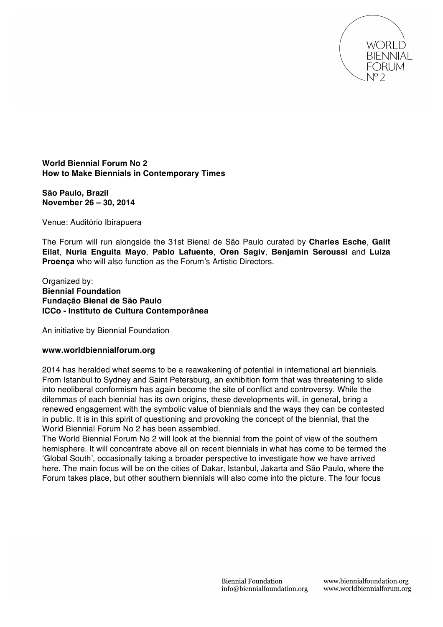

**World Biennial Forum No 2 How to Make Biennials in Contemporary Times**

**São Paulo, Brazil November 26 – 30, 2014**

Venue: Auditório Ibirapuera

The Forum will run alongside the 31st Bienal de São Paulo curated by **Charles Esche**, **Galit Eilat**, **Nuria Enguita Mayo**, **Pablo Lafuente**, **Oren Sagiv**, **Benjamin Seroussi** and **Luiza Proença** who will also function as the Forum's Artistic Directors.

Organized by: **Biennial Foundation Fundação Bienal de São Paulo ICCo - Instituto de Cultura Contemporânea**

An initiative by Biennial Foundation

# **www.worldbiennialforum.org**

2014 has heralded what seems to be a reawakening of potential in international art biennials. From Istanbul to Sydney and Saint Petersburg, an exhibition form that was threatening to slide into neoliberal conformism has again become the site of conflict and controversy. While the dilemmas of each biennial has its own origins, these developments will, in general, bring a renewed engagement with the symbolic value of biennials and the ways they can be contested in public. It is in this spirit of questioning and provoking the concept of the biennial, that the World Biennial Forum No 2 has been assembled.

The World Biennial Forum No 2 will look at the biennial from the point of view of the southern hemisphere. It will concentrate above all on recent biennials in what has come to be termed the ʻGlobal South', occasionally taking a broader perspective to investigate how we have arrived here. The main focus will be on the cities of Dakar, Istanbul, Jakarta and São Paulo, where the Forum takes place, but other southern biennials will also come into the picture. The four focus

www.biennialfoundation.org www.worldbiennialforum.org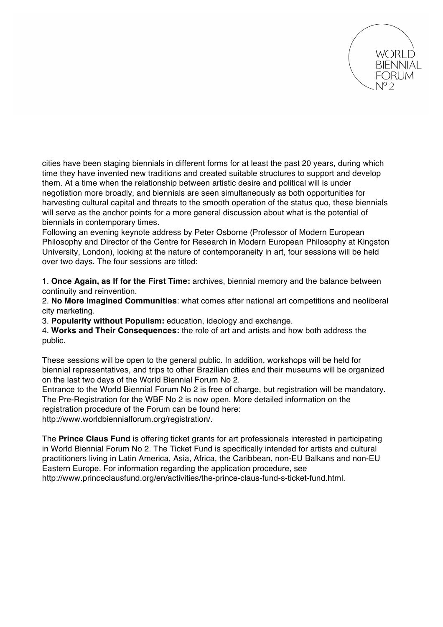

cities have been staging biennials in different forms for at least the past 20 years, during which time they have invented new traditions and created suitable structures to support and develop them. At a time when the relationship between artistic desire and political will is under negotiation more broadly, and biennials are seen simultaneously as both opportunities for harvesting cultural capital and threats to the smooth operation of the status quo, these biennials will serve as the anchor points for a more general discussion about what is the potential of biennials in contemporary times.

Following an evening keynote address by Peter Osborne (Professor of Modern European Philosophy and Director of the Centre for Research in Modern European Philosophy at Kingston University, London), looking at the nature of contemporaneity in art, four sessions will be held over two days. The four sessions are titled:

1. **Once Again, as If for the First Time:** archives, biennial memory and the balance between continuity and reinvention.

2. **No More Imagined Communities**: what comes after national art competitions and neoliberal city marketing.

3. **Popularity without Populism:** education, ideology and exchange.

4. **Works and Their Consequences:** the role of art and artists and how both address the public.

These sessions will be open to the general public. In addition, workshops will be held for biennial representatives, and trips to other Brazilian cities and their museums will be organized on the last two days of the World Biennial Forum No 2.

Entrance to the World Biennial Forum No 2 is free of charge, but registration will be mandatory. The Pre-Registration for the WBF No 2 is now open. More detailed information on the registration procedure of the Forum can be found here:

http://www.worldbiennialforum.org/registration/.

The **Prince Claus Fund** is offering ticket grants for art professionals interested in participating in World Biennial Forum No 2. The Ticket Fund is specifically intended for artists and cultural practitioners living in Latin America, Asia, Africa, the Caribbean, non-EU Balkans and non-EU Eastern Europe. For information regarding the application procedure, see

http://www.princeclausfund.org/en/activities/the-prince-claus-fund-s-ticket-fund.html.